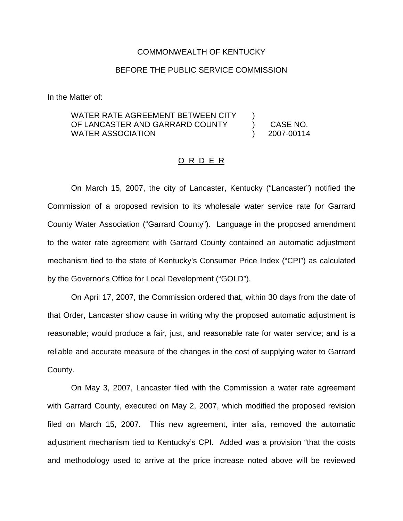## COMMONWEALTH OF KENTUCKY

## BEFORE THE PUBLIC SERVICE COMMISSION

In the Matter of:

## WATER RATE AGREEMENT BETWEEN CITY OF LANCASTER AND GARRARD COUNTY WATER ASSOCIATION ) ) CASE NO. ) 2007-00114

## O R D E R

On March 15, 2007, the city of Lancaster, Kentucky ("Lancaster") notified the Commission of a proposed revision to its wholesale water service rate for Garrard County Water Association ("Garrard County"). Language in the proposed amendment to the water rate agreement with Garrard County contained an automatic adjustment mechanism tied to the state of Kentucky's Consumer Price Index ("CPI") as calculated by the Governor's Office for Local Development ("GOLD").

On April 17, 2007, the Commission ordered that, within 30 days from the date of that Order, Lancaster show cause in writing why the proposed automatic adjustment is reasonable; would produce a fair, just, and reasonable rate for water service; and is a reliable and accurate measure of the changes in the cost of supplying water to Garrard County.

On May 3, 2007, Lancaster filed with the Commission a water rate agreement with Garrard County, executed on May 2, 2007, which modified the proposed revision filed on March 15, 2007. This new agreement, inter alia, removed the automatic adjustment mechanism tied to Kentucky's CPI. Added was a provision "that the costs and methodology used to arrive at the price increase noted above will be reviewed